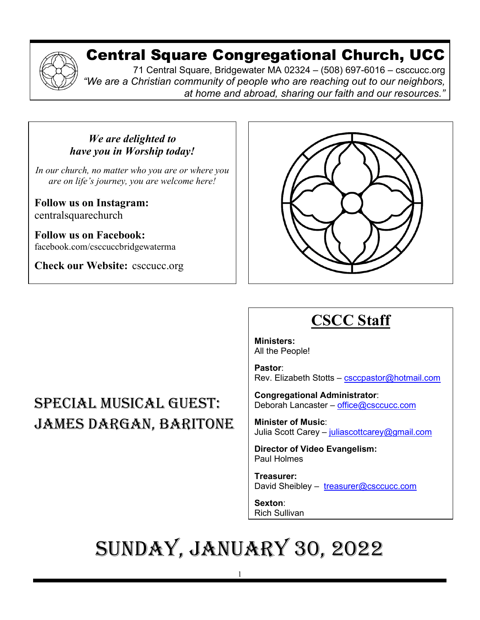## Central Square Congregational Church, UCC

71 Central Square, Bridgewater MA 02324 – (508) 697-6016 – csccucc.org *"We are a Christian community of people who are reaching out to our neighbors, at home and abroad, sharing our faith and our resources."*

#### *We are delighted to have you in Worship today!*

*In our church, no matter who you are or where you are on life's journey, you are welcome here!*

**Follow us on Instagram:** centralsquarechurch

l

**Follow us on Facebook:** facebook.com/csccuccbridgewaterma

**Check our Website:** csccucc.org



#### Special musical guest: James Dargan, baritone  ÿ

## **CSCC Staff**

**Ministers:** All the People!

**Pastor**: Rev. Elizabeth Stotts – [csccpastor@hotmail.com](about:blank)

**Congregational Administrator**: Deborah Lancaster – [office@csccucc.com](about:blank)

**Minister of Music**: Julia Scott Carey - [juliascottcarey@gmail.com](about:blank)

**Director of Video Evangelism:** Paul Holmes

**Treasurer:**  David Sheibley - [treasurer@csccucc.com](about:blank)

**Sexton**: Rich Sullivan

## Sunday, January 30, 2022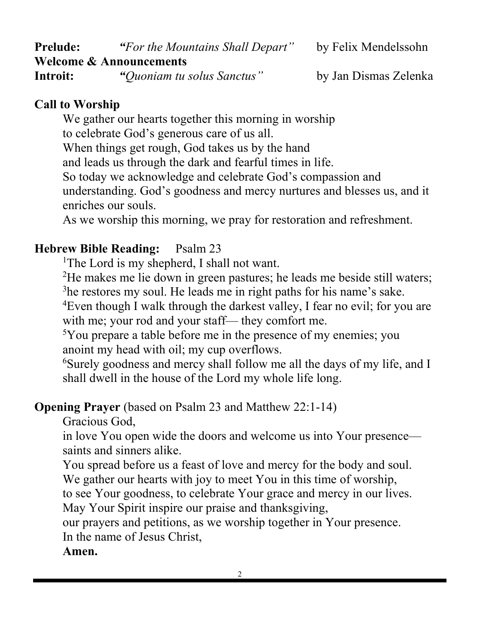| <b>Prelude:</b>                    | "For the Mountains Shall Depart" | by Felix Mendelssohn  |
|------------------------------------|----------------------------------|-----------------------|
| <b>Welcome &amp; Announcements</b> |                                  |                       |
| Introit:                           | "Quoniam tu solus Sanctus"       | by Jan Dismas Zelenka |

#### **Call to Worship**

We gather our hearts together this morning in worship to celebrate God's generous care of us all. When things get rough, God takes us by the hand and leads us through the dark and fearful times in life. So today we acknowledge and celebrate God's compassion and understanding. God's goodness and mercy nurtures and blesses us, and it enriches our souls.

As we worship this morning, we pray for restoration and refreshment.

#### **Hebrew Bible Reading:** Psalm 23

<sup>1</sup>The Lord is my shepherd, I shall not want.

<sup>2</sup>He makes me lie down in green pastures; he leads me beside still waters; <sup>3</sup>he restores my soul. He leads me in right paths for his name's sake.

<sup>4</sup>Even though I walk through the darkest valley, I fear no evil; for you are with me; your rod and your staff— they comfort me.

5 You prepare a table before me in the presence of my enemies; you anoint my head with oil; my cup overflows.

6 Surely goodness and mercy shall follow me all the days of my life, and I shall dwell in the house of the Lord my whole life long.

#### **Opening Prayer** (based on Psalm 23 and Matthew 22:1-14)

Gracious God,

in love You open wide the doors and welcome us into Your presence saints and sinners alike.

You spread before us a feast of love and mercy for the body and soul. We gather our hearts with joy to meet You in this time of worship,

to see Your goodness, to celebrate Your grace and mercy in our lives.

May Your Spirit inspire our praise and thanksgiving,

our prayers and petitions, as we worship together in Your presence. In the name of Jesus Christ,

**Amen.**

2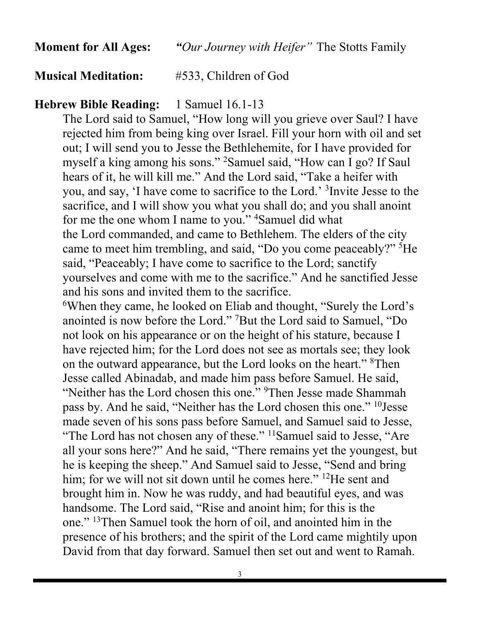#### **Musical Meditation:** #533, Children of God

#### **Hebrew Bible Reading:** 1 Samuel 16.1-13

The Lord said to Samuel, "How long will you grieve over Saul? I have rejected him from being king over Israel. Fill your horn with oil and set out; I will send you to Jesse the Bethlehemite, for I have provided for myself a king among his sons." <sup>2</sup> Samuel said, "How can I go? If Saul hears of it, he will kill me." And the Lord said, "Take a heifer with you, and say, 'I have come to sacrifice to the Lord.' <sup>3</sup> Invite Jesse to the sacrifice, and I will show you what you shall do; and you shall anoint for me the one whom I name to you."<sup>4</sup> Samuel did what the Lord commanded, and came to Bethlehem. The elders of the city came to meet him trembling, and said, "Do you come peaceably?" <sup>5</sup>He said, "Peaceably; I have come to sacrifice to the Lord; sanctify yourselves and come with me to the sacrifice." And he sanctified Jesse and his sons and invited them to the sacrifice.

6 When they came, he looked on Eliab and thought, "Surely the Lord's anointed is now before the Lord." <sup>7</sup> But the Lord said to Samuel, "Do not look on his appearance or on the height of his stature, because I have rejected him; for the Lord does not see as mortals see; they look on the outward appearance, but the Lord looks on the heart." <sup>8</sup>Then Jesse called Abinadab, and made him pass before Samuel. He said, "Neither has the Lord chosen this one." <sup>9</sup>Then Jesse made Shammah pass by. And he said, "Neither has the Lord chosen this one." 10Jesse made seven of his sons pass before Samuel, and Samuel said to Jesse, "The Lord has not chosen any of these." <sup>11</sup>Samuel said to Jesse, "Are all your sons here?" And he said, "There remains yet the youngest, but he is keeping the sheep." And Samuel said to Jesse, "Send and bring him; for we will not sit down until he comes here." <sup>12</sup>He sent and brought him in. Now he was ruddy, and had beautiful eyes, and was handsome. The Lord said, "Rise and anoint him; for this is the one." 13Then Samuel took the horn of oil, and anointed him in the presence of his brothers; and the spirit of the Lord came mightily upon David from that day forward. Samuel then set out and went to Ramah.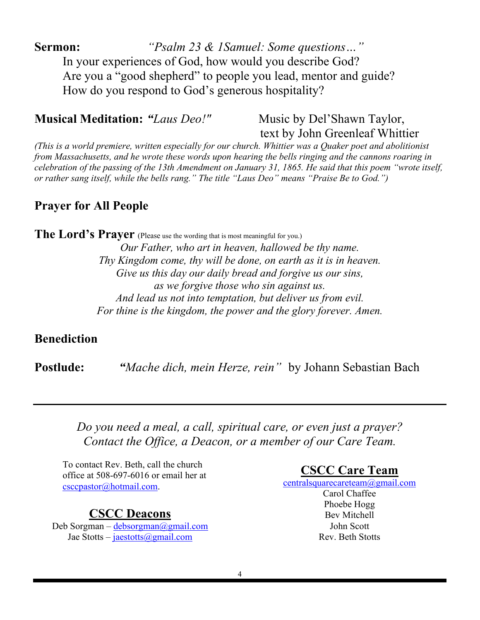**Sermon:** *"Psalm 23 & 1Samuel: Some questions…"* In your experiences of God, how would you describe God? Are you a "good shepherd" to people you lead, mentor and guide? How do you respond to God's generous hospitality?

**Musical Meditation: "***Laus Deo!*" Music by Del'Shawn Taylor,

text by John Greenleaf Whittier

*(This is a world premiere, written especially for our church. Whittier was a Quaker poet and abolitionist from Massachusetts, and he wrote these words upon hearing the bells ringing and the cannons roaring in celebration of the passing of the 13th Amendment on January 31, 1865. He said that this poem "wrote itself, or rather sang itself, while the bells rang." The title "Laus Deo" means "Praise Be to God.")* 

#### **Prayer for All People**

#### **The Lord's Prayer** (Please use the wording that is most meaningful for you.)

*Our Father, who art in heaven, hallowed be thy name. Thy Kingdom come, thy will be done, on earth as it is in heaven. Give us this day our daily bread and forgive us our sins, as we forgive those who sin against us. And lead us not into temptation, but deliver us from evil. For thine is the kingdom, the power and the glory forever. Amen.*

#### **Benediction**

**Postlude:** *"Mache dich, mein Herze, rein"* by Johann Sebastian Bach

*Do you need a meal, a call, spiritual care, or even just a prayer? Contact the Office, a Deacon, or a member of our Care Team.*

To contact Rev. Beth, call the church office at 508-697-6016 or email her at [csccpastor@hotmail.com.](mailto:csccpastor@hotmail.com)

#### **CSCC Deacons**

Deb Sorgman – [debsorgman@gmail.com](mailto:debsorgman@gmail.com) Jae Stotts – jaestotts@gmail.com

**CSCC Care Team**

[centralsquarecareteam@gmail.com](mailto:CentralSquareCareTeam@gmail.com)

Carol Chaffee Phoebe Hogg Bev Mitchell John Scott Rev. Beth Stotts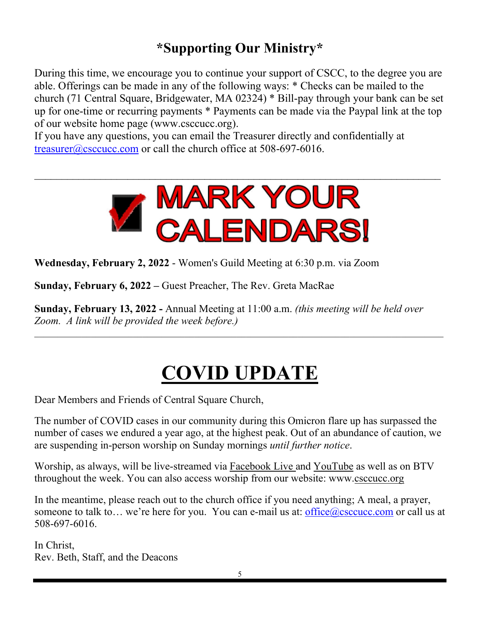### **\*Supporting Our Ministry\***

During this time, we encourage you to continue your support of CSCC, to the degree you are able. Offerings can be made in any of the following ways: \* Checks can be mailed to the church (71 Central Square, Bridgewater, MA 02324) \* Bill-pay through your bank can be set up for one-time or recurring payments \* Payments can be made via the Paypal link at the top of our website home page (www.csccucc.org).

If you have any questions, you can email the Treasurer directly and confidentially at [treasurer@csccucc.com](mailto:treasurer@csccucc.com) or call the church office at 508-697-6016.



**Wednesday, February 2, 2022** - Women's Guild Meeting at 6:30 p.m. via Zoom

**Sunday, February 6, 2022 –** Guest Preacher, The Rev. Greta MacRae

**Sunday, February 13, 2022 -** Annual Meeting at 11:00 a.m. *(this meeting will be held over Zoom. A link will be provided the week before.)*

## **COVID UPDATE**

\_\_\_\_\_\_\_\_\_\_\_\_\_\_\_\_\_\_\_\_\_\_\_\_\_\_\_\_\_\_\_\_\_\_\_\_\_\_\_\_\_\_\_\_\_\_\_\_\_\_\_\_\_\_\_\_\_\_\_\_\_\_\_\_\_\_\_\_\_\_\_\_\_\_\_\_\_\_\_\_\_\_\_\_\_\_\_

Dear Members and Friends of Central Square Church,

The number of COVID cases in our community during this Omicron flare up has surpassed the number of cases we endured a year ago, at the highest peak. Out of an abundance of caution, we are suspending in-person worship on Sunday mornings *until further notice*.

Worship, as always, will be live-streamed via [Facebook Live a](https://www.facebook.com/csccuccbridgewaterma)nd [YouTube](https://www.youtube.com/c/Booth-video) as well as on BTV throughout the week. You can also access worship from our website: www[.csccucc.org](http://csccucc.org/)

In the meantime, please reach out to the church office if you need anything; A meal, a prayer, someone to talk to... we're here for you. You can e-mail us at: office  $\omega$ csccucc.com or call us at 508-697-6016.

In Christ, Rev. Beth, Staff, and the Deacons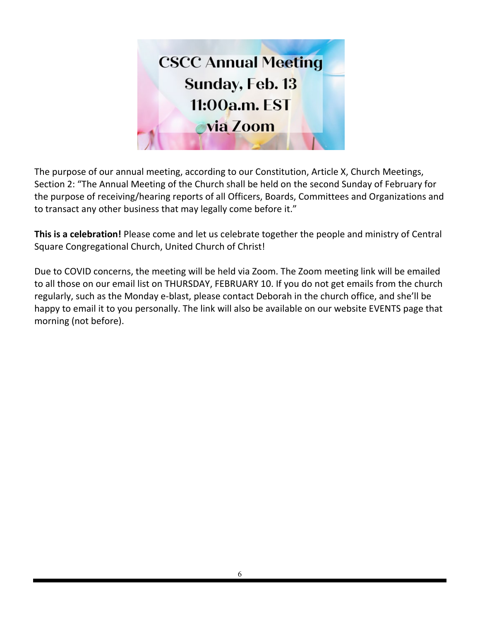

The purpose of our annual meeting, according to our Constitution, Article X, Church Meetings, Section 2: "The Annual Meeting of the Church shall be held on the second Sunday of February for the purpose of receiving/hearing reports of all Officers, Boards, Committees and Organizations and to transact any other business that may legally come before it."

**This is a celebration!** Please come and let us celebrate together the people and ministry of Central Square Congregational Church, United Church of Christ!

Due to COVID concerns, the meeting will be held via Zoom. The Zoom meeting link will be emailed to all those on our email list on THURSDAY, FEBRUARY 10. If you do not get emails from the church regularly, such as the Monday e-blast, please contact Deborah in the church office, and she'll be happy to email it to you personally. The link will also be available on our website EVENTS page that morning (not before).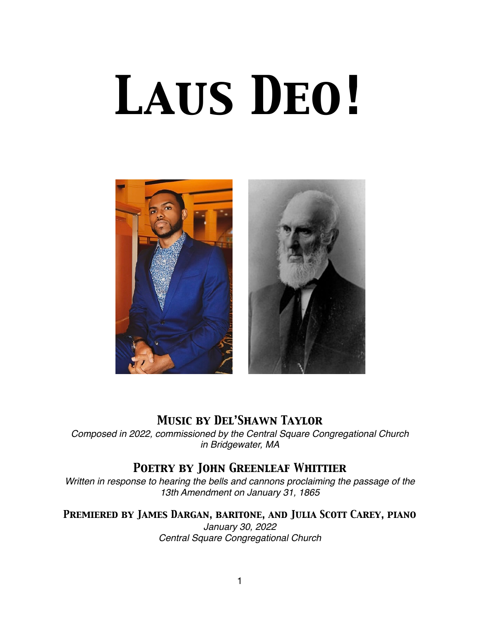# *Laus Deo!*



#### *Music by Del'Shawn Taylor*

*Composed in 2022, commissioned by the Central Square Congregational Church in Bridgewater, MA*

#### *Poetry by John Greenleaf Whittier*

*Written in response to hearing the bells and cannons proclaiming the passage of the 13th Amendment on January 31, 1865*

*Premiered by James Dargan, baritone, and Julia Scott Carey, piano January 30, 2022 Central Square Congregational Church*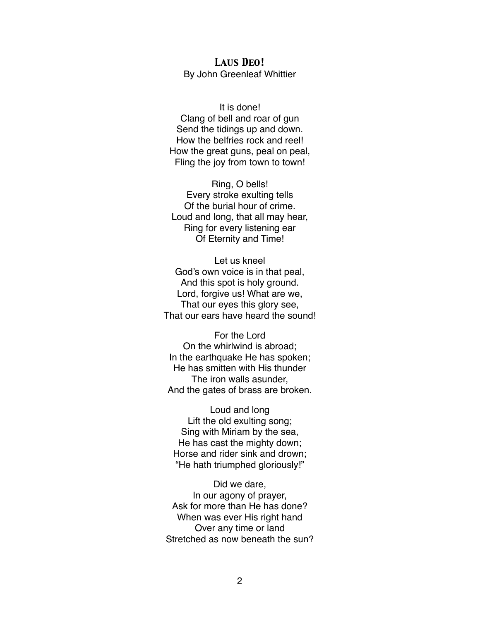#### *Laus Deo!* By John Greenleaf Whittier

It is done! Clang of bell and roar of gun Send the tidings up and down. How the belfries rock and reel! How the great guns, peal on peal, Fling the joy from town to town!

Ring, O bells! Every stroke exulting tells Of the burial hour of crime. Loud and long, that all may hear, Ring for every listening ear Of Eternity and Time!

Let us kneel God's own voice is in that peal, And this spot is holy ground. Lord, forgive us! What are we, That our eyes this glory see, That our ears have heard the sound!

For the Lord On the whirlwind is abroad; In the earthquake He has spoken; He has smitten with His thunder The iron walls asunder, And the gates of brass are broken.

Loud and long Lift the old exulting song; Sing with Miriam by the sea, He has cast the mighty down; Horse and rider sink and drown; "He hath triumphed gloriously!"

Did we dare, In our agony of prayer, Ask for more than He has done? When was ever His right hand Over any time or land Stretched as now beneath the sun?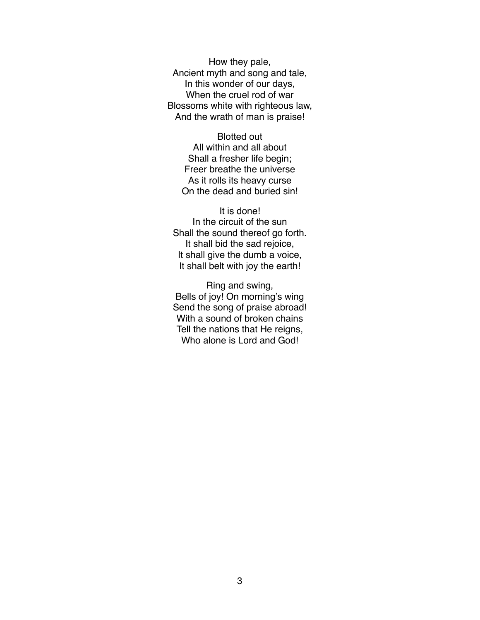How they pale, Ancient myth and song and tale, In this wonder of our days, When the cruel rod of war Blossoms white with righteous law, And the wrath of man is praise!

Blotted out All within and all about Shall a fresher life begin; Freer breathe the universe As it rolls its heavy curse On the dead and buried sin!

It is done! In the circuit of the sun Shall the sound thereof go forth. It shall bid the sad rejoice, It shall give the dumb a voice, It shall belt with joy the earth!

Ring and swing, Bells of joy! On morning's wing Send the song of praise abroad! With a sound of broken chains Tell the nations that He reigns, Who alone is Lord and God!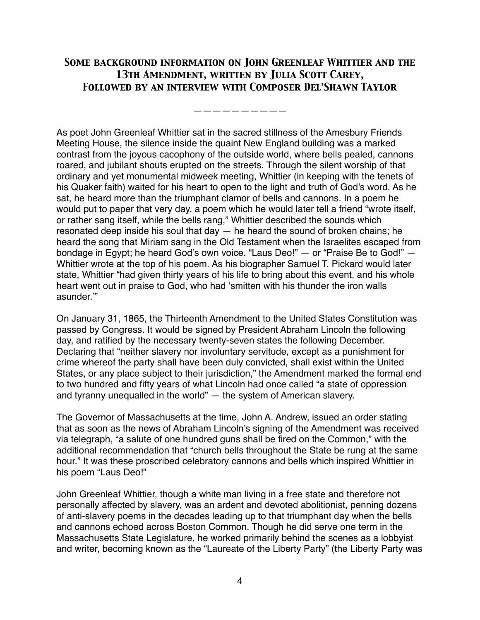#### *Some background information on John Greenleaf Whittier and the 13th Amendment, written by Julia Scott Carey, Followed by an interview with Composer Del'Shawn Taylor*

*——————————*

As poet John Greenleaf Whittier sat in the sacred stillness of the Amesbury Friends Meeting House, the silence inside the quaint New England building was a marked contrast from the joyous cacophony of the outside world, where bells pealed, cannons roared, and jubilant shouts erupted on the streets. Through the silent worship of that ordinary and yet monumental midweek meeting, Whittier (in keeping with the tenets of his Quaker faith) waited for his heart to open to the light and truth of God's word. As he sat, he heard more than the triumphant clamor of bells and cannons. In a poem he would put to paper that very day, a poem which he would later tell a friend "wrote itself, or rather sang itself, while the bells rang," Whittier described the sounds which resonated deep inside his soul that day  $-$  he heard the sound of broken chains; he heard the song that Miriam sang in the Old Testament when the Israelites escaped from bondage in Egypt; he heard God's own voice. "Laus Deo!" — or "Praise Be to God!" — Whittier wrote at the top of his poem. As his biographer Samuel T. Pickard would later state, Whittier "had given thirty years of his life to bring about this event, and his whole heart went out in praise to God, who had 'smitten with his thunder the iron walls asunder.'"

On January 31, 1865, the Thirteenth Amendment to the United States Constitution was passed by Congress. It would be signed by President Abraham Lincoln the following day, and ratified by the necessary twenty-seven states the following December. Declaring that "neither slavery nor involuntary servitude, except as a punishment for crime whereof the party shall have been duly convicted, shall exist within the United States, or any place subject to their jurisdiction," the Amendment marked the formal end to two hundred and fifty years of what Lincoln had once called "a state of oppression and tyranny unequalled in the world" — the system of American slavery.

The Governor of Massachusetts at the time, John A. Andrew, issued an order stating that as soon as the news of Abraham Lincoln's signing of the Amendment was received via telegraph, "a salute of one hundred guns shall be fired on the Common," with the additional recommendation that "church bells throughout the State be rung at the same hour." It was these proscribed celebratory cannons and bells which inspired Whittier in his poem "Laus Deo!"

John Greenleaf Whittier, though a white man living in a free state and therefore not personally affected by slavery, was an ardent and devoted abolitionist, penning dozens of anti-slavery poems in the decades leading up to that triumphant day when the bells and cannons echoed across Boston Common. Though he did serve one term in the Massachusetts State Legislature, he worked primarily behind the scenes as a lobbyist and writer, becoming known as the "Laureate of the Liberty Party" (the Liberty Party was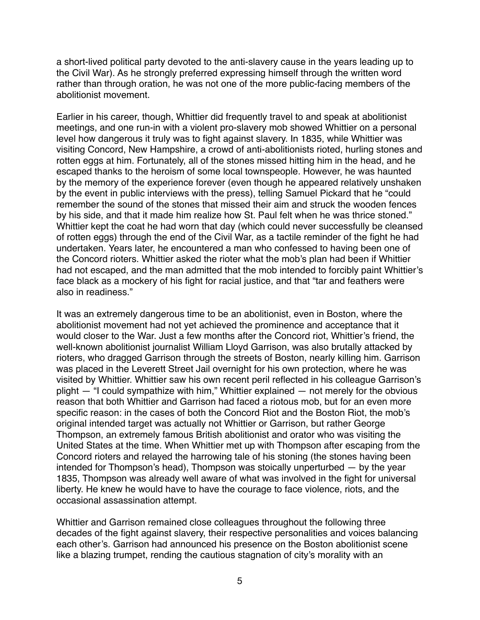a short-lived political party devoted to the anti-slavery cause in the years leading up to the Civil War). As he strongly preferred expressing himself through the written word rather than through oration, he was not one of the more public-facing members of the abolitionist movement.

Earlier in his career, though, Whittier did frequently travel to and speak at abolitionist meetings, and one run-in with a violent pro-slavery mob showed Whittier on a personal level how dangerous it truly was to fight against slavery. In 1835, while Whittier was visiting Concord, New Hampshire, a crowd of anti-abolitionists rioted, hurling stones and rotten eggs at him. Fortunately, all of the stones missed hitting him in the head, and he escaped thanks to the heroism of some local townspeople. However, he was haunted by the memory of the experience forever (even though he appeared relatively unshaken by the event in public interviews with the press), telling Samuel Pickard that he "could remember the sound of the stones that missed their aim and struck the wooden fences by his side, and that it made him realize how St. Paul felt when he was thrice stoned." Whittier kept the coat he had worn that day (which could never successfully be cleansed of rotten eggs) through the end of the Civil War, as a tactile reminder of the fight he had undertaken. Years later, he encountered a man who confessed to having been one of the Concord rioters. Whittier asked the rioter what the mob's plan had been if Whittier had not escaped, and the man admitted that the mob intended to forcibly paint Whittier's face black as a mockery of his fight for racial justice, and that "tar and feathers were also in readiness."

It was an extremely dangerous time to be an abolitionist, even in Boston, where the abolitionist movement had not yet achieved the prominence and acceptance that it would closer to the War. Just a few months after the Concord riot, Whittier's friend, the well-known abolitionist journalist William Lloyd Garrison, was also brutally attacked by rioters, who dragged Garrison through the streets of Boston, nearly killing him. Garrison was placed in the Leverett Street Jail overnight for his own protection, where he was visited by Whittier. Whittier saw his own recent peril reflected in his colleague Garrison's plight — "I could sympathize with him," Whittier explained — not merely for the obvious reason that both Whittier and Garrison had faced a riotous mob, but for an even more specific reason: in the cases of both the Concord Riot and the Boston Riot, the mob's original intended target was actually not Whittier or Garrison, but rather George Thompson, an extremely famous British abolitionist and orator who was visiting the United States at the time. When Whittier met up with Thompson after escaping from the Concord rioters and relayed the harrowing tale of his stoning (the stones having been intended for Thompson's head), Thompson was stoically unperturbed — by the year 1835, Thompson was already well aware of what was involved in the fight for universal liberty. He knew he would have to have the courage to face violence, riots, and the occasional assassination attempt.

Whittier and Garrison remained close colleagues throughout the following three decades of the fight against slavery, their respective personalities and voices balancing each other's. Garrison had announced his presence on the Boston abolitionist scene like a blazing trumpet, rending the cautious stagnation of city's morality with an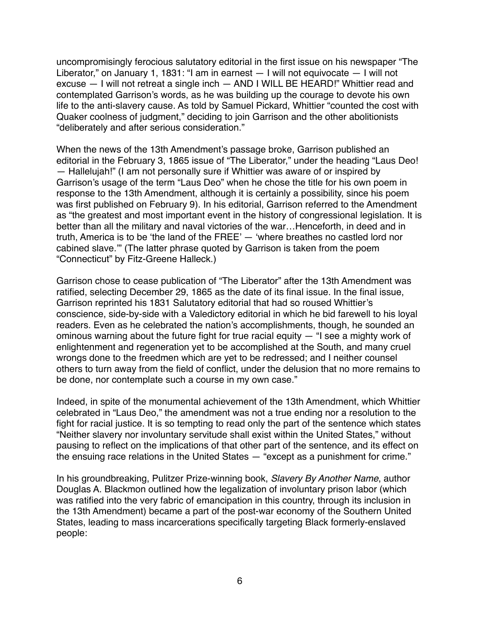uncompromisingly ferocious salutatory editorial in the first issue on his newspaper "The Liberator," on January 1, 1831: "I am in earnest — I will not equivocate — I will not excuse — I will not retreat a single inch — AND I WILL BE HEARD!" Whittier read and contemplated Garrison's words, as he was building up the courage to devote his own life to the anti-slavery cause. As told by Samuel Pickard, Whittier "counted the cost with Quaker coolness of judgment," deciding to join Garrison and the other abolitionists "deliberately and after serious consideration."

When the news of the 13th Amendment's passage broke, Garrison published an editorial in the February 3, 1865 issue of "The Liberator," under the heading "Laus Deo! — Hallelujah!" (I am not personally sure if Whittier was aware of or inspired by Garrison's usage of the term "Laus Deo" when he chose the title for his own poem in response to the 13th Amendment, although it is certainly a possibility, since his poem was first published on February 9). In his editorial, Garrison referred to the Amendment as "the greatest and most important event in the history of congressional legislation. It is better than all the military and naval victories of the war…Henceforth, in deed and in truth, America is to be 'the land of the FREE' — 'where breathes no castled lord nor cabined slave.'" (The latter phrase quoted by Garrison is taken from the poem "Connecticut" by Fitz-Greene Halleck.)

Garrison chose to cease publication of "The Liberator" after the 13th Amendment was ratified, selecting December 29, 1865 as the date of its final issue. In the final issue, Garrison reprinted his 1831 Salutatory editorial that had so roused Whittier's conscience, side-by-side with a Valedictory editorial in which he bid farewell to his loyal readers. Even as he celebrated the nation's accomplishments, though, he sounded an ominous warning about the future fight for true racial equity  $-$  "I see a mighty work of enlightenment and regeneration yet to be accomplished at the South, and many cruel wrongs done to the freedmen which are yet to be redressed; and I neither counsel others to turn away from the field of conflict, under the delusion that no more remains to be done, nor contemplate such a course in my own case."

Indeed, in spite of the monumental achievement of the 13th Amendment, which Whittier celebrated in "Laus Deo," the amendment was not a true ending nor a resolution to the fight for racial justice. It is so tempting to read only the part of the sentence which states "Neither slavery nor involuntary servitude shall exist within the United States," without pausing to reflect on the implications of that other part of the sentence, and its effect on the ensuing race relations in the United States — "except as a punishment for crime."

In his groundbreaking, Pulitzer Prize-winning book, *Slavery By Another Name*, author Douglas A. Blackmon outlined how the legalization of involuntary prison labor (which was ratified into the very fabric of emancipation in this country, through its inclusion in the 13th Amendment) became a part of the post-war economy of the Southern United States, leading to mass incarcerations specifically targeting Black formerly-enslaved people: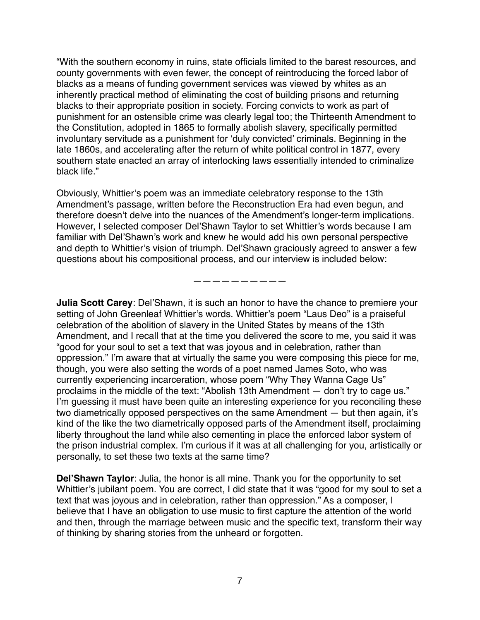"With the southern economy in ruins, state officials limited to the barest resources, and county governments with even fewer, the concept of reintroducing the forced labor of blacks as a means of funding government services was viewed by whites as an inherently practical method of eliminating the cost of building prisons and returning blacks to their appropriate position in society. Forcing convicts to work as part of punishment for an ostensible crime was clearly legal too; the Thirteenth Amendment to the Constitution, adopted in 1865 to formally abolish slavery, specifically permitted involuntary servitude as a punishment for 'duly convicted' criminals. Beginning in the late 1860s, and accelerating after the return of white political control in 1877, every southern state enacted an array of interlocking laws essentially intended to criminalize black life."

Obviously, Whittier's poem was an immediate celebratory response to the 13th Amendment's passage, written before the Reconstruction Era had even begun, and therefore doesn't delve into the nuances of the Amendment's longer-term implications. However, I selected composer Del'Shawn Taylor to set Whittier's words because I am familiar with Del'Shawn's work and knew he would add his own personal perspective and depth to Whittier's vision of triumph. Del'Shawn graciously agreed to answer a few questions about his compositional process, and our interview is included below:

——————————

**Julia Scott Carey**: Del'Shawn, it is such an honor to have the chance to premiere your setting of John Greenleaf Whittier's words. Whittier's poem "Laus Deo" is a praiseful celebration of the abolition of slavery in the United States by means of the 13th Amendment, and I recall that at the time you delivered the score to me, you said it was "good for your soul to set a text that was joyous and in celebration, rather than oppression." I'm aware that at virtually the same you were composing this piece for me, though, you were also setting the words of a poet named James Soto, who was currently experiencing incarceration, whose poem "Why They Wanna Cage Us" proclaims in the middle of the text: "Abolish 13th Amendment — don't try to cage us." I'm guessing it must have been quite an interesting experience for you reconciling these two diametrically opposed perspectives on the same Amendment — but then again, it's kind of the like the two diametrically opposed parts of the Amendment itself, proclaiming liberty throughout the land while also cementing in place the enforced labor system of the prison industrial complex. I'm curious if it was at all challenging for you, artistically or personally, to set these two texts at the same time?

**Del'Shawn Taylor**: Julia, the honor is all mine. Thank you for the opportunity to set Whittier's jubilant poem. You are correct, I did state that it was "good for my soul to set a text that was joyous and in celebration, rather than oppression." As a composer, I believe that I have an obligation to use music to first capture the attention of the world and then, through the marriage between music and the specific text, transform their way of thinking by sharing stories from the unheard or forgotten.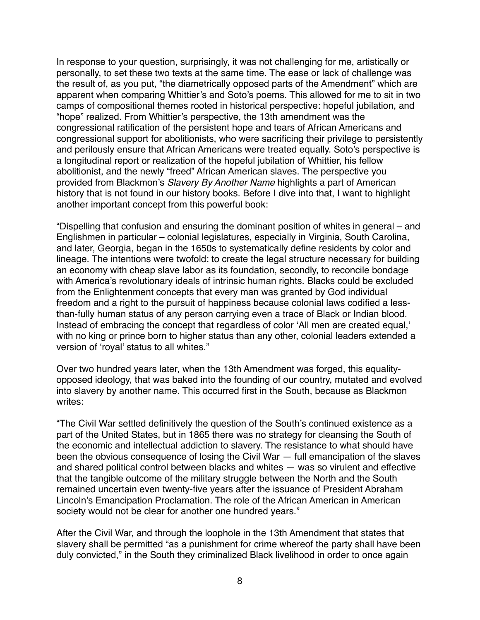In response to your question, surprisingly, it was not challenging for me, artistically or personally, to set these two texts at the same time. The ease or lack of challenge was the result of, as you put, "the diametrically opposed parts of the Amendment" which are apparent when comparing Whittier's and Soto's poems. This allowed for me to sit in two camps of compositional themes rooted in historical perspective: hopeful jubilation, and "hope" realized. From Whittier's perspective, the 13th amendment was the congressional ratification of the persistent hope and tears of African Americans and congressional support for abolitionists, who were sacrificing their privilege to persistently and perilously ensure that African Americans were treated equally. Soto's perspective is a longitudinal report or realization of the hopeful jubilation of Whittier, his fellow abolitionist, and the newly "freed" African American slaves. The perspective you provided from Blackmon's *Slavery By Another Name* highlights a part of American history that is not found in our history books. Before I dive into that, I want to highlight another important concept from this powerful book:

"Dispelling that confusion and ensuring the dominant position of whites in general – and Englishmen in particular – colonial legislatures, especially in Virginia, South Carolina, and later, Georgia, began in the 1650s to systematically define residents by color and lineage. The intentions were twofold: to create the legal structure necessary for building an economy with cheap slave labor as its foundation, secondly, to reconcile bondage with America's revolutionary ideals of intrinsic human rights. Blacks could be excluded from the Enlightenment concepts that every man was granted by God individual freedom and a right to the pursuit of happiness because colonial laws codified a lessthan-fully human status of any person carrying even a trace of Black or Indian blood. Instead of embracing the concept that regardless of color 'All men are created equal,' with no king or prince born to higher status than any other, colonial leaders extended a version of 'royal' status to all whites."

Over two hundred years later, when the 13th Amendment was forged, this equalityopposed ideology, that was baked into the founding of our country, mutated and evolved into slavery by another name. This occurred first in the South, because as Blackmon writes:

"The Civil War settled definitively the question of the South's continued existence as a part of the United States, but in 1865 there was no strategy for cleansing the South of the economic and intellectual addiction to slavery. The resistance to what should have been the obvious consequence of losing the Civil War — full emancipation of the slaves and shared political control between blacks and whites — was so virulent and effective that the tangible outcome of the military struggle between the North and the South remained uncertain even twenty-five years after the issuance of President Abraham Lincoln's Emancipation Proclamation. The role of the African American in American society would not be clear for another one hundred years."

After the Civil War, and through the loophole in the 13th Amendment that states that slavery shall be permitted "as a punishment for crime whereof the party shall have been duly convicted," in the South they criminalized Black livelihood in order to once again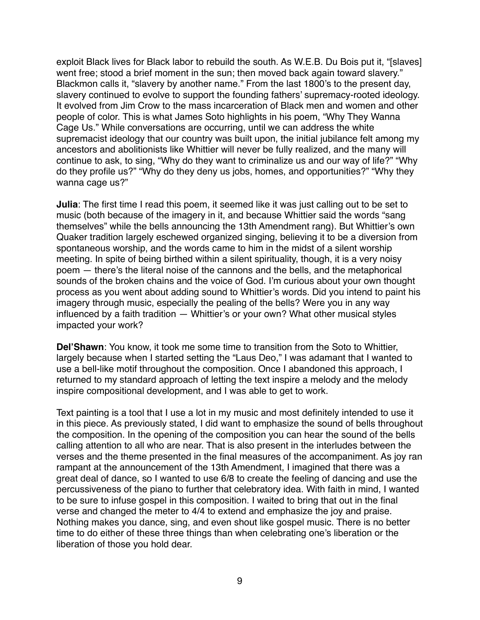exploit Black lives for Black labor to rebuild the south. As W.E.B. Du Bois put it, "[slaves] went free; stood a brief moment in the sun; then moved back again toward slavery." Blackmon calls it, "slavery by another name." From the last 1800's to the present day, slavery continued to evolve to support the founding fathers' supremacy-rooted ideology. It evolved from Jim Crow to the mass incarceration of Black men and women and other people of color. This is what James Soto highlights in his poem, "Why They Wanna Cage Us." While conversations are occurring, until we can address the white supremacist ideology that our country was built upon, the initial jubilance felt among my ancestors and abolitionists like Whittier will never be fully realized, and the many will continue to ask, to sing, "Why do they want to criminalize us and our way of life?" "Why do they profile us?" "Why do they deny us jobs, homes, and opportunities?" "Why they wanna cage us?"

**Julia**: The first time I read this poem, it seemed like it was just calling out to be set to music (both because of the imagery in it, and because Whittier said the words "sang themselves" while the bells announcing the 13th Amendment rang). But Whittier's own Quaker tradition largely eschewed organized singing, believing it to be a diversion from spontaneous worship, and the words came to him in the midst of a silent worship meeting. In spite of being birthed within a silent spirituality, though, it is a very noisy poem — there's the literal noise of the cannons and the bells, and the metaphorical sounds of the broken chains and the voice of God. I'm curious about your own thought process as you went about adding sound to Whittier's words. Did you intend to paint his imagery through music, especially the pealing of the bells? Were you in any way influenced by a faith tradition — Whittier's or your own? What other musical styles impacted your work?

**Del'Shawn**: You know, it took me some time to transition from the Soto to Whittier, largely because when I started setting the "Laus Deo," I was adamant that I wanted to use a bell-like motif throughout the composition. Once I abandoned this approach, I returned to my standard approach of letting the text inspire a melody and the melody inspire compositional development, and I was able to get to work.

Text painting is a tool that I use a lot in my music and most definitely intended to use it in this piece. As previously stated, I did want to emphasize the sound of bells throughout the composition. In the opening of the composition you can hear the sound of the bells calling attention to all who are near. That is also present in the interludes between the verses and the theme presented in the final measures of the accompaniment. As joy ran rampant at the announcement of the 13th Amendment, I imagined that there was a great deal of dance, so I wanted to use 6/8 to create the feeling of dancing and use the percussiveness of the piano to further that celebratory idea. With faith in mind, I wanted to be sure to infuse gospel in this composition. I waited to bring that out in the final verse and changed the meter to 4/4 to extend and emphasize the joy and praise. Nothing makes you dance, sing, and even shout like gospel music. There is no better time to do either of these three things than when celebrating one's liberation or the liberation of those you hold dear.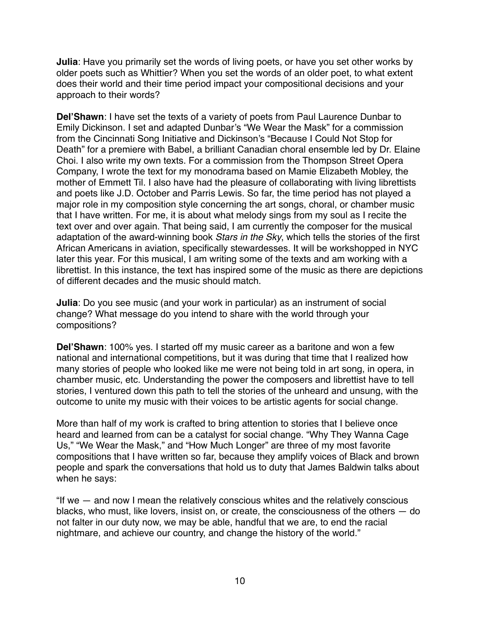**Julia**: Have you primarily set the words of living poets, or have you set other works by older poets such as Whittier? When you set the words of an older poet, to what extent does their world and their time period impact your compositional decisions and your approach to their words?

**Del'Shawn**: I have set the texts of a variety of poets from Paul Laurence Dunbar to Emily Dickinson. I set and adapted Dunbar's "We Wear the Mask" for a commission from the Cincinnati Song Initiative and Dickinson's "Because I Could Not Stop for Death" for a premiere with Babel, a brilliant Canadian choral ensemble led by Dr. Elaine Choi. I also write my own texts. For a commission from the Thompson Street Opera Company, I wrote the text for my monodrama based on Mamie Elizabeth Mobley, the mother of Emmett Til. I also have had the pleasure of collaborating with living librettists and poets like J.D. October and Parris Lewis. So far, the time period has not played a major role in my composition style concerning the art songs, choral, or chamber music that I have written. For me, it is about what melody sings from my soul as I recite the text over and over again. That being said, I am currently the composer for the musical adaptation of the award-winning book *Stars in the Sky*, which tells the stories of the first African Americans in aviation, specifically stewardesses. It will be workshopped in NYC later this year. For this musical, I am writing some of the texts and am working with a librettist. In this instance, the text has inspired some of the music as there are depictions of different decades and the music should match.

**Julia**: Do you see music (and your work in particular) as an instrument of social change? What message do you intend to share with the world through your compositions?

**Del'Shawn**: 100% yes. I started off my music career as a baritone and won a few national and international competitions, but it was during that time that I realized how many stories of people who looked like me were not being told in art song, in opera, in chamber music, etc. Understanding the power the composers and librettist have to tell stories, I ventured down this path to tell the stories of the unheard and unsung, with the outcome to unite my music with their voices to be artistic agents for social change.

More than half of my work is crafted to bring attention to stories that I believe once heard and learned from can be a catalyst for social change. "Why They Wanna Cage Us," "We Wear the Mask," and "How Much Longer" are three of my most favorite compositions that I have written so far, because they amplify voices of Black and brown people and spark the conversations that hold us to duty that James Baldwin talks about when he says:

"If we — and now I mean the relatively conscious whites and the relatively conscious blacks, who must, like lovers, insist on, or create, the consciousness of the others — do not falter in our duty now, we may be able, handful that we are, to end the racial nightmare, and achieve our country, and change the history of the world."